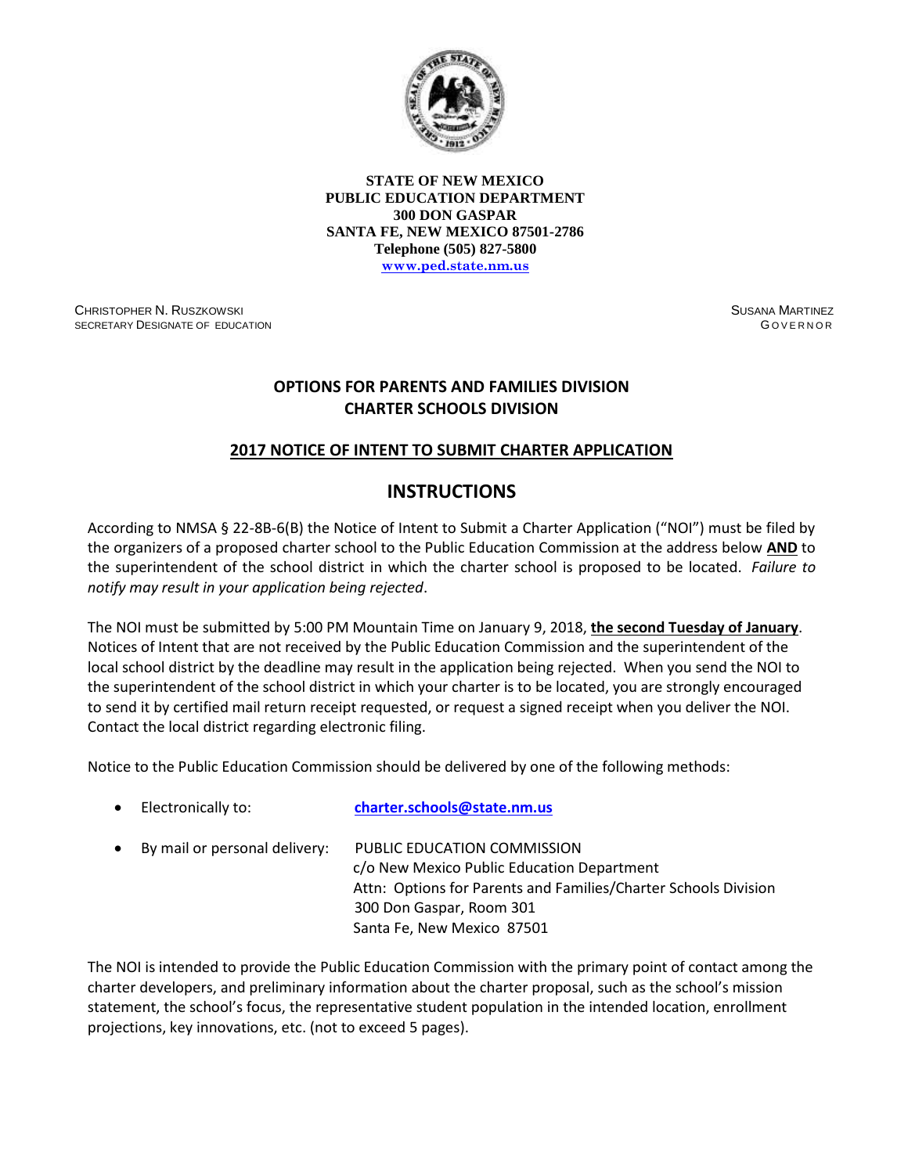

**STATE OF NEW MEXICO PUBLIC EDUCATION DEPARTMENT 300 DON GASPAR SANTA FE, NEW MEXICO 87501-2786 Telephone (505) 827-5800 [www.ped.state.nm.us](http://www.sde.state.nm.us/)**

CHRISTOPHER N. RUSZKOWSKI SECRETARY DESIGNATE OF EDUCATION SUSANA MARTINEZ G OVERNOR

## **OPTIONS FOR PARENTS AND FAMILIES DIVISION CHARTER SCHOOLS DIVISION**

## **2017 NOTICE OF INTENT TO SUBMIT CHARTER APPLICATION**

## **INSTRUCTIONS**

According to NMSA § 22-8B-6(B) the Notice of Intent to Submit a Charter Application ("NOI") must be filed by the organizers of a proposed charter school to the Public Education Commission at the address below **AND** to the superintendent of the school district in which the charter school is proposed to be located. *Failure to notify may result in your application being rejected*.

The NOI must be submitted by 5:00 PM Mountain Time on January 9, 2018, **the second Tuesday of January**. Notices of Intent that are not received by the Public Education Commission and the superintendent of the local school district by the deadline may result in the application being rejected. When you send the NOI to the superintendent of the school district in which your charter is to be located, you are strongly encouraged to send it by certified mail return receipt requested, or request a signed receipt when you deliver the NOI. Contact the local district regarding electronic filing.

Notice to the Public Education Commission should be delivered by one of the following methods:

| Electronically to:            | charter.schools@state.nm.us                                                                                                                                                                            |
|-------------------------------|--------------------------------------------------------------------------------------------------------------------------------------------------------------------------------------------------------|
| By mail or personal delivery: | PUBLIC EDUCATION COMMISSION<br>c/o New Mexico Public Education Department<br>Attn: Options for Parents and Families/Charter Schools Division<br>300 Don Gaspar, Room 301<br>Santa Fe, New Mexico 87501 |

The NOI is intended to provide the Public Education Commission with the primary point of contact among the charter developers, and preliminary information about the charter proposal, such as the school's mission statement, the school's focus, the representative student population in the intended location, enrollment projections, key innovations, etc. (not to exceed 5 pages).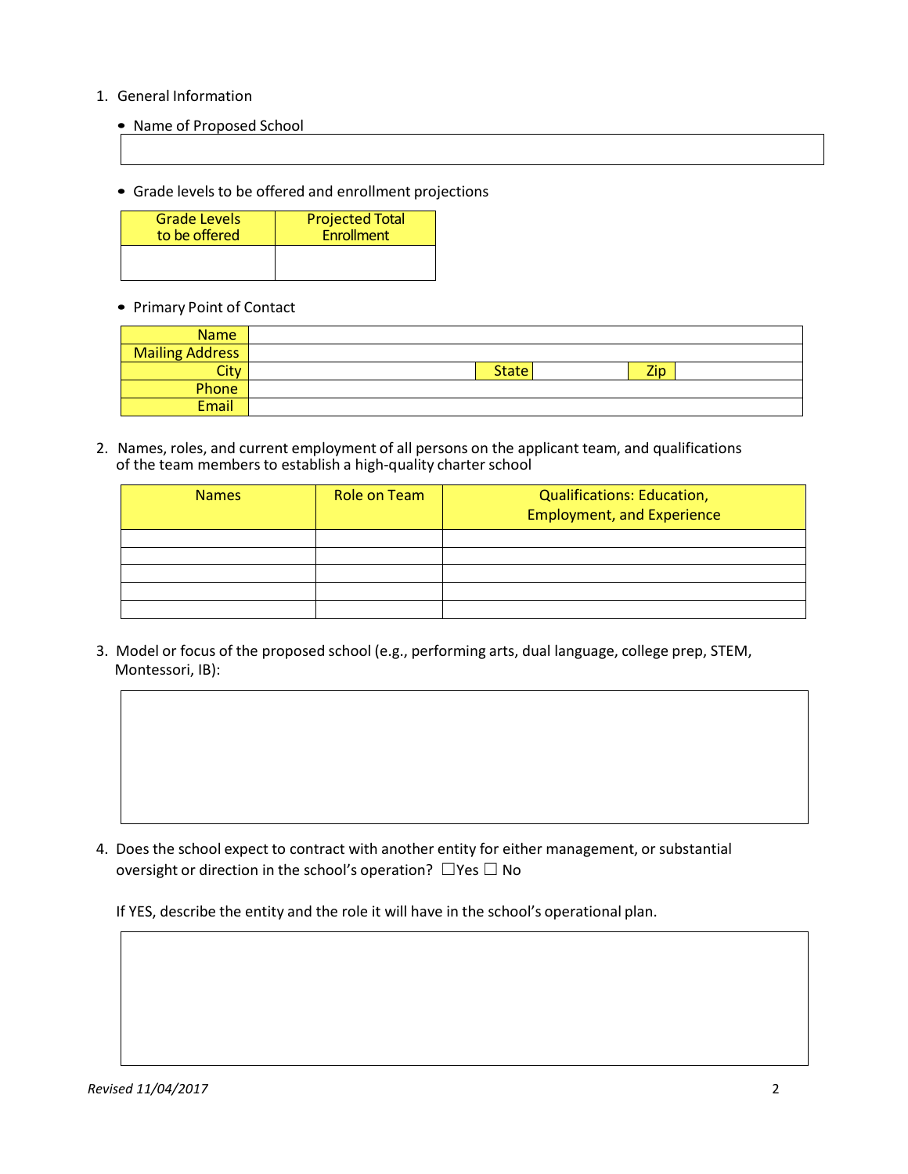## 1. General Information

- Name of Proposed School
- Grade levels to be offered and enrollment projections

| <b>Grade Levels</b> | <b>Projected Total</b> |
|---------------------|------------------------|
| to be offered       | Enrollment             |
|                     |                        |

• Primary Point of Contact

| <b>Name</b>            |                     |
|------------------------|---------------------|
| <b>Mailing Address</b> |                     |
| City                   | Zip<br><b>State</b> |
| Phone                  |                     |
| <b>Email</b>           |                     |

2. Names, roles, and current employment of all persons on the applicant team, and qualifications of the team members to establish a high-quality charter school

| <b>Names</b> | Role on Team | <b>Qualifications: Education,</b><br><b>Employment, and Experience</b> |
|--------------|--------------|------------------------------------------------------------------------|
|              |              |                                                                        |
|              |              |                                                                        |
|              |              |                                                                        |
|              |              |                                                                        |
|              |              |                                                                        |

3. Model or focus of the proposed school (e.g., performing arts, dual language, college prep, STEM, Montessori, IB):

4. Does the school expect to contract with another entity for either management, or substantial oversight or direction in the school's operation?  $\Box$  Yes  $\Box$  No

If YES, describe the entity and the role it will have in the school's operational plan.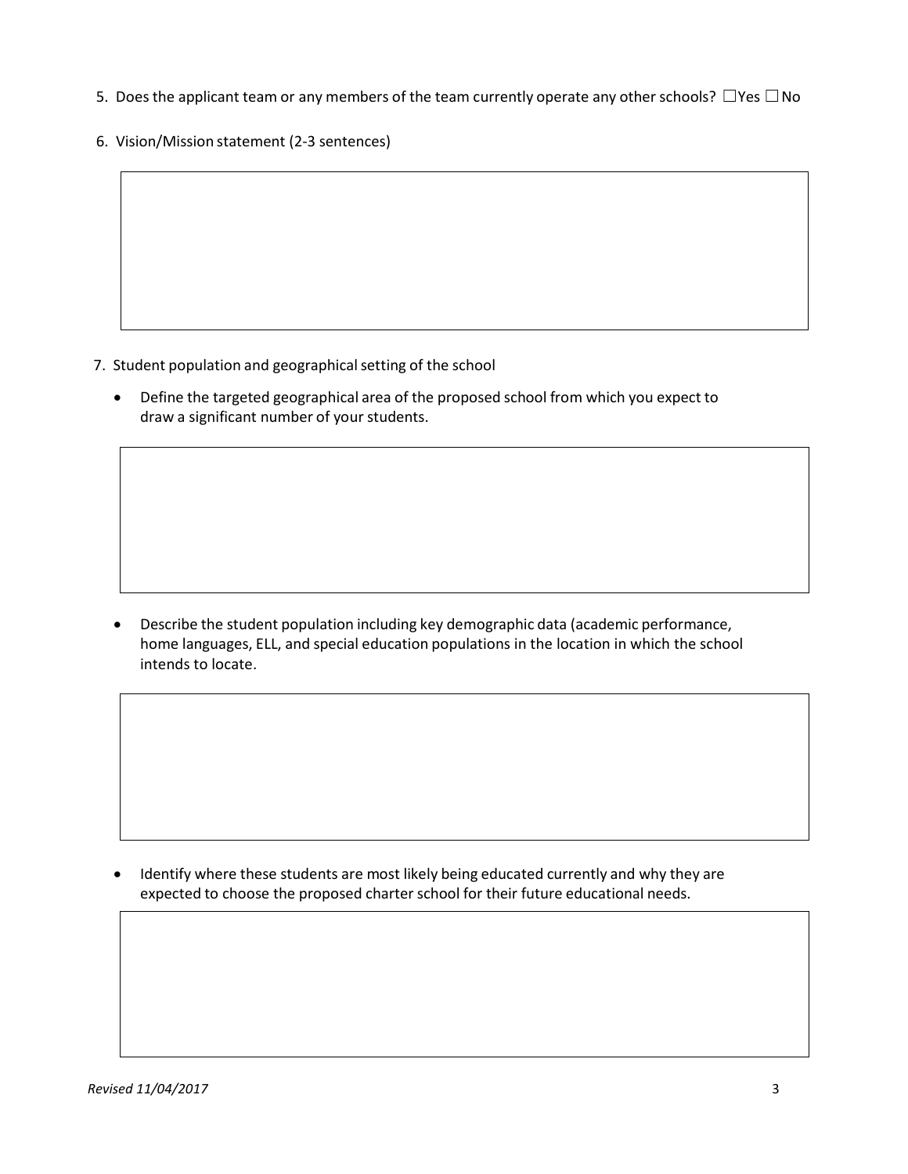- 5. Does the applicant team or any members of the team currently operate any other schools?  $\Box$  Yes  $\Box$  No
- 6. Vision/Mission statement (2-3 sentences)

- 7. Student population and geographical setting of the school
	- Define the targeted geographical area of the proposed school from which you expect to draw a significant number of your students.

 Describe the student population including key demographic data (academic performance, home languages, ELL, and special education populations in the location in which the school intends to locate.

• Identify where these students are most likely being educated currently and why they are expected to choose the proposed charter school for their future educational needs.